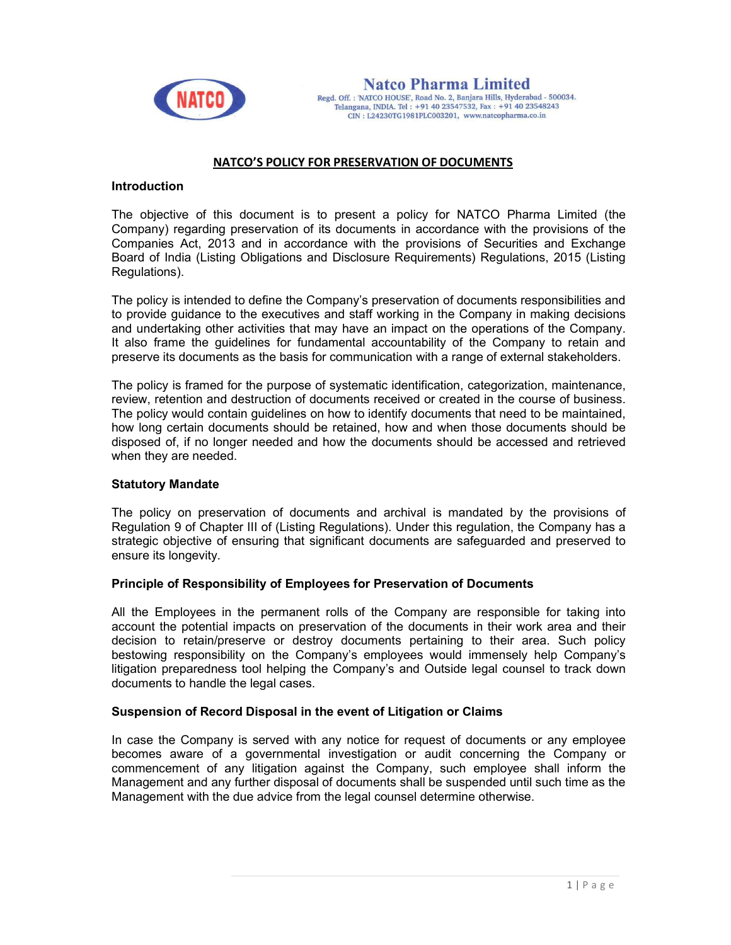

## NATCO'S POLICY FOR PRESERVATION OF DOCUMENTS

### Introduction

The objective of this document is to present a policy for NATCO Pharma Limited (the Company) regarding preservation of its documents in accordance with the provisions of the Companies Act, 2013 and in accordance with the provisions of Securities and Exchange Board of India (Listing Obligations and Disclosure Requirements) Regulations, 2015 (Listing Regulations).

The policy is intended to define the Company's preservation of documents responsibilities and to provide guidance to the executives and staff working in the Company in making decisions and undertaking other activities that may have an impact on the operations of the Company. It also frame the guidelines for fundamental accountability of the Company to retain and preserve its documents as the basis for communication with a range of external stakeholders.

The policy is framed for the purpose of systematic identification, categorization, maintenance, review, retention and destruction of documents received or created in the course of business. The policy would contain guidelines on how to identify documents that need to be maintained, how long certain documents should be retained, how and when those documents should be disposed of, if no longer needed and how the documents should be accessed and retrieved when they are needed.

### Statutory Mandate

The policy on preservation of documents and archival is mandated by the provisions of Regulation 9 of Chapter III of (Listing Regulations). Under this regulation, the Company has a strategic objective of ensuring that significant documents are safeguarded and preserved to ensure its longevity.

### Principle of Responsibility of Employees for Preservation of Documents

All the Employees in the permanent rolls of the Company are responsible for taking into account the potential impacts on preservation of the documents in their work area and their decision to retain/preserve or destroy documents pertaining to their area. Such policy bestowing responsibility on the Company's employees would immensely help Company's litigation preparedness tool helping the Company's and Outside legal counsel to track down documents to handle the legal cases.

### Suspension of Record Disposal in the event of Litigation or Claims

In case the Company is served with any notice for request of documents or any employee becomes aware of a governmental investigation or audit concerning the Company or commencement of any litigation against the Company, such employee shall inform the Management and any further disposal of documents shall be suspended until such time as the Management with the due advice from the legal counsel determine otherwise.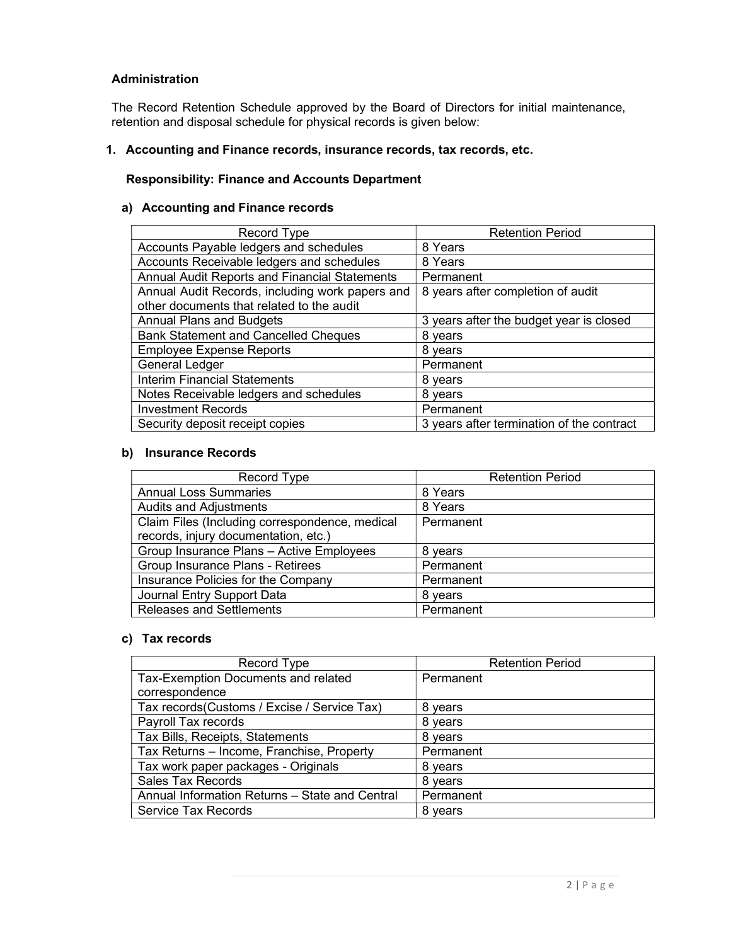## Administration

The Record Retention Schedule approved by the Board of Directors for initial maintenance, retention and disposal schedule for physical records is given below:

### 1. Accounting and Finance records, insurance records, tax records, etc.

## Responsibility: Finance and Accounts Department

### a) Accounting and Finance records

| Record Type                                     | <b>Retention Period</b>                   |
|-------------------------------------------------|-------------------------------------------|
| Accounts Payable ledgers and schedules          | 8 Years                                   |
| Accounts Receivable ledgers and schedules       | 8 Years                                   |
| Annual Audit Reports and Financial Statements   | Permanent                                 |
| Annual Audit Records, including work papers and | 8 years after completion of audit         |
| other documents that related to the audit       |                                           |
| <b>Annual Plans and Budgets</b>                 | 3 years after the budget year is closed   |
| <b>Bank Statement and Cancelled Cheques</b>     | 8 years                                   |
| <b>Employee Expense Reports</b>                 | 8 years                                   |
| <b>General Ledger</b>                           | Permanent                                 |
| <b>Interim Financial Statements</b>             | 8 years                                   |
| Notes Receivable ledgers and schedules          | 8 years                                   |
| <b>Investment Records</b>                       | Permanent                                 |
| Security deposit receipt copies                 | 3 years after termination of the contract |

## b) Insurance Records

| Record Type                                    | <b>Retention Period</b> |
|------------------------------------------------|-------------------------|
| <b>Annual Loss Summaries</b>                   | 8 Years                 |
| <b>Audits and Adjustments</b>                  | 8 Years                 |
| Claim Files (Including correspondence, medical | Permanent               |
| records, injury documentation, etc.)           |                         |
| Group Insurance Plans - Active Employees       | 8 years                 |
| Group Insurance Plans - Retirees               | Permanent               |
| Insurance Policies for the Company             | Permanent               |
| Journal Entry Support Data                     | 8 vears                 |
| <b>Releases and Settlements</b>                | Permanent               |

### c) Tax records

| Record Type                                    | <b>Retention Period</b> |
|------------------------------------------------|-------------------------|
| Tax-Exemption Documents and related            | Permanent               |
| correspondence                                 |                         |
| Tax records (Customs / Excise / Service Tax)   | 8 years                 |
| Payroll Tax records                            | 8 years                 |
| Tax Bills, Receipts, Statements                | 8 years                 |
| Tax Returns - Income, Franchise, Property      | Permanent               |
| Tax work paper packages - Originals            | 8 years                 |
| <b>Sales Tax Records</b>                       | 8 years                 |
| Annual Information Returns - State and Central | Permanent               |
| <b>Service Tax Records</b>                     | 8 vears                 |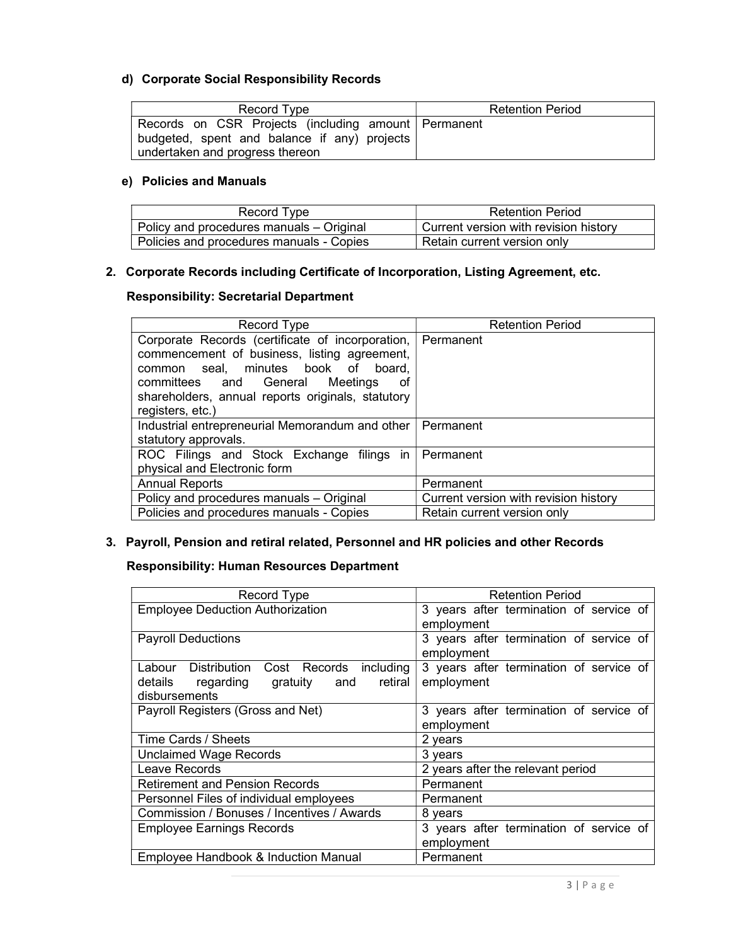## d) Corporate Social Responsibility Records

| Record Type                                                                                                                            | <b>Retention Period</b> |
|----------------------------------------------------------------------------------------------------------------------------------------|-------------------------|
| Records on CSR Projects (including amount Permanent<br>budgeted, spent and balance if any) projects<br>undertaken and progress thereon |                         |

## e) Policies and Manuals

| Record Type                              | <b>Retention Period</b>                      |
|------------------------------------------|----------------------------------------------|
| Policy and procedures manuals – Original | $\mid$ Current version with revision history |
| Policies and procedures manuals - Copies | Retain current version only                  |

# 2. Corporate Records including Certificate of Incorporation, Listing Agreement, etc.

## Responsibility: Secretarial Department

| Record Type                                                 | <b>Retention Period</b>               |
|-------------------------------------------------------------|---------------------------------------|
| Corporate Records (certificate of incorporation, Permanent  |                                       |
| commencement of business, listing agreement,                |                                       |
| seal, minutes book of<br>board.<br>common                   |                                       |
| committees and General Meetings<br>οt                       |                                       |
| shareholders, annual reports originals, statutory           |                                       |
| registers, etc.)                                            |                                       |
| Industrial entrepreneurial Memorandum and other   Permanent |                                       |
| statutory approvals.                                        |                                       |
| ROC Filings and Stock Exchange filings in Permanent         |                                       |
| physical and Electronic form                                |                                       |
| <b>Annual Reports</b>                                       | Permanent                             |
| Policy and procedures manuals - Original                    | Current version with revision history |
| Policies and procedures manuals - Copies                    | Retain current version only           |

# 3. Payroll, Pension and retiral related, Personnel and HR policies and other Records

# Responsibility: Human Resources Department

| Record Type                                  | <b>Retention Period</b>                 |
|----------------------------------------------|-----------------------------------------|
| <b>Employee Deduction Authorization</b>      | 3 years after termination of service of |
|                                              | employment                              |
| <b>Payroll Deductions</b>                    | 3 years after termination of service of |
|                                              | employment                              |
| Labour Distribution Cost Records including   | 3 years after termination of service of |
| and retiral<br>gratuity<br>details regarding | employment                              |
| disbursements                                |                                         |
| Payroll Registers (Gross and Net)            | 3 years after termination of service of |
|                                              | employment                              |
| Time Cards / Sheets                          | 2 years                                 |
| <b>Unclaimed Wage Records</b>                | 3 years                                 |
| Leave Records                                | 2 years after the relevant period       |
| <b>Retirement and Pension Records</b>        | Permanent                               |
| Personnel Files of individual employees      | Permanent                               |
| Commission / Bonuses / Incentives / Awards   | 8 years                                 |
| <b>Employee Earnings Records</b>             | 3 years after termination of service of |
|                                              | employment                              |
| Employee Handbook & Induction Manual         | Permanent                               |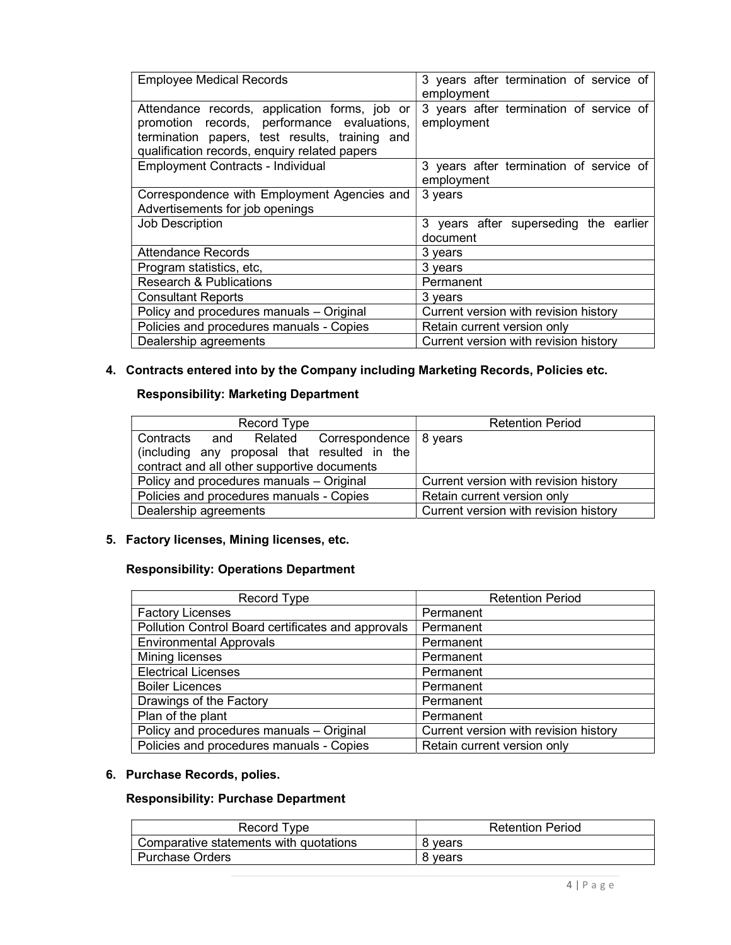| <b>Employee Medical Records</b>                                                                                                                                                                 | 3 years after termination of service of<br>employment |
|-------------------------------------------------------------------------------------------------------------------------------------------------------------------------------------------------|-------------------------------------------------------|
| Attendance records, application forms, job or<br>promotion records, performance evaluations,<br>termination papers, test results, training and<br>qualification records, enquiry related papers | 3 years after termination of service of<br>employment |
| <b>Employment Contracts - Individual</b>                                                                                                                                                        | 3 years after termination of service of<br>employment |
| Correspondence with Employment Agencies and<br>Advertisements for job openings                                                                                                                  | 3 years                                               |
| Job Description                                                                                                                                                                                 | 3 years after superseding the earlier<br>document     |
| Attendance Records                                                                                                                                                                              | 3 years                                               |
| Program statistics, etc,                                                                                                                                                                        | 3 years                                               |
| <b>Research &amp; Publications</b>                                                                                                                                                              | Permanent                                             |
| <b>Consultant Reports</b>                                                                                                                                                                       | 3 years                                               |
| Policy and procedures manuals - Original                                                                                                                                                        | Current version with revision history                 |
| Policies and procedures manuals - Copies                                                                                                                                                        | Retain current version only                           |
| Dealership agreements                                                                                                                                                                           | Current version with revision history                 |

# 4. Contracts entered into by the Company including Marketing Records, Policies etc.

# Responsibility: Marketing Department

| Record Type                                                                                                                                 | <b>Retention Period</b>               |
|---------------------------------------------------------------------------------------------------------------------------------------------|---------------------------------------|
| Contracts and Related Correspondence 8 years<br>(including any proposal that resulted in the<br>contract and all other supportive documents |                                       |
| Policy and procedures manuals - Original                                                                                                    | Current version with revision history |
| Policies and procedures manuals - Copies                                                                                                    | Retain current version only           |
| Dealership agreements                                                                                                                       | Current version with revision history |

# 5. Factory licenses, Mining licenses, etc.

# Responsibility: Operations Department

| Record Type                                        | <b>Retention Period</b>               |
|----------------------------------------------------|---------------------------------------|
| <b>Factory Licenses</b>                            | Permanent                             |
| Pollution Control Board certificates and approvals | Permanent                             |
| <b>Environmental Approvals</b>                     | Permanent                             |
| Mining licenses                                    | Permanent                             |
| <b>Electrical Licenses</b>                         | Permanent                             |
| <b>Boiler Licences</b>                             | Permanent                             |
| Drawings of the Factory                            | Permanent                             |
| Plan of the plant                                  | Permanent                             |
| Policy and procedures manuals - Original           | Current version with revision history |
| Policies and procedures manuals - Copies           | Retain current version only           |

# 6. Purchase Records, polies.

# Responsibility: Purchase Department

| Record Type                            | <b>Retention Period</b> |
|----------------------------------------|-------------------------|
| Comparative statements with quotations | 8 vears                 |
| <b>Purchase Orders</b>                 | 8 vears                 |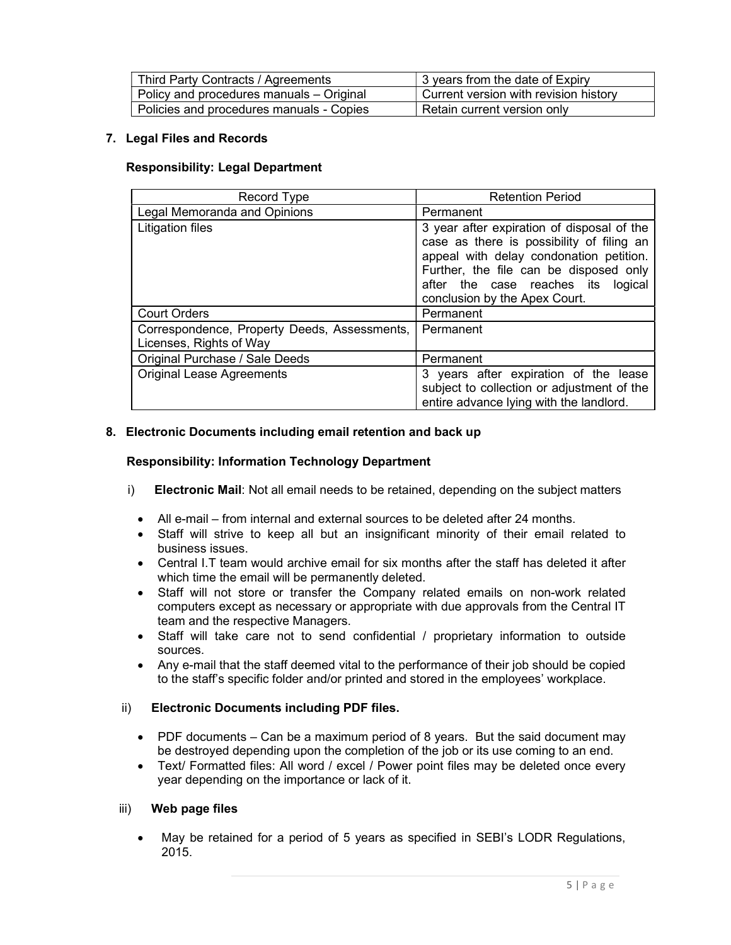| Third Party Contracts / Agreements       | 3 years from the date of Expiry       |
|------------------------------------------|---------------------------------------|
| Policy and procedures manuals - Original | Current version with revision history |
| Policies and procedures manuals - Copies | Retain current version only           |

## 7. Legal Files and Records

## Responsibility: Legal Department

| Record Type                                                             | <b>Retention Period</b>                                                                                                                                                                                                                                |
|-------------------------------------------------------------------------|--------------------------------------------------------------------------------------------------------------------------------------------------------------------------------------------------------------------------------------------------------|
| Legal Memoranda and Opinions                                            | Permanent                                                                                                                                                                                                                                              |
| Litigation files                                                        | 3 year after expiration of disposal of the<br>case as there is possibility of filing an<br>appeal with delay condonation petition.<br>Further, the file can be disposed only<br>after the case reaches its<br>logical<br>conclusion by the Apex Court. |
| <b>Court Orders</b>                                                     | Permanent                                                                                                                                                                                                                                              |
| Correspondence, Property Deeds, Assessments,<br>Licenses, Rights of Way | Permanent                                                                                                                                                                                                                                              |
| Original Purchase / Sale Deeds                                          | Permanent                                                                                                                                                                                                                                              |
| <b>Original Lease Agreements</b>                                        | 3 years after expiration of the lease<br>subject to collection or adjustment of the<br>entire advance lying with the landlord.                                                                                                                         |

## 8. Electronic Documents including email retention and back up

## Responsibility: Information Technology Department

- i) Electronic Mail: Not all email needs to be retained, depending on the subject matters
	- All e-mail from internal and external sources to be deleted after 24 months.
	- Staff will strive to keep all but an insignificant minority of their email related to business issues.
	- Central I.T team would archive email for six months after the staff has deleted it after which time the email will be permanently deleted.
	- Staff will not store or transfer the Company related emails on non-work related computers except as necessary or appropriate with due approvals from the Central IT team and the respective Managers.
	- Staff will take care not to send confidential / proprietary information to outside sources.
	- Any e-mail that the staff deemed vital to the performance of their job should be copied to the staff's specific folder and/or printed and stored in the employees' workplace.

## ii) Electronic Documents including PDF files.

- PDF documents Can be a maximum period of 8 years. But the said document may be destroyed depending upon the completion of the job or its use coming to an end.
- Text/ Formatted files: All word / excel / Power point files may be deleted once every year depending on the importance or lack of it.

### iii) Web page files

 May be retained for a period of 5 years as specified in SEBI's LODR Regulations, 2015.